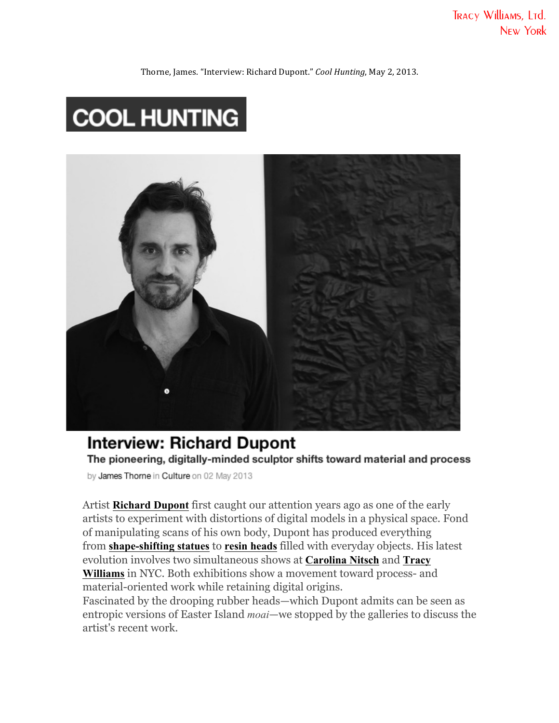TRACY Williams, LTd. **NEW YORK** 

Thorne, James. "Interview: Richard Dupont." *Cool Hunting*, May 2, 2013.

# **COOL HUNTING**



# **Interview: Richard Dupont** The pioneering, digitally-minded sculptor shifts toward material and process

by James Thorne in Culture on 02 May 2013

Artist **Richard Dupont** first caught our attention years ago as one of the early artists to experiment with distortions of digital models in a physical space. Fond of manipulating scans of his own body, Dupont has produced everything from **shape-shifting statues** to **resin heads** filled with everyday objects. His latest evolution involves two simultaneous shows at **Carolina Nitsch** and **Tracy Williams** in NYC. Both exhibitions show a movement toward process- and material-oriented work while retaining digital origins.

Fascinated by the drooping rubber heads—which Dupont admits can be seen as entropic versions of Easter Island *moai*—we stopped by the galleries to discuss the artist's recent work.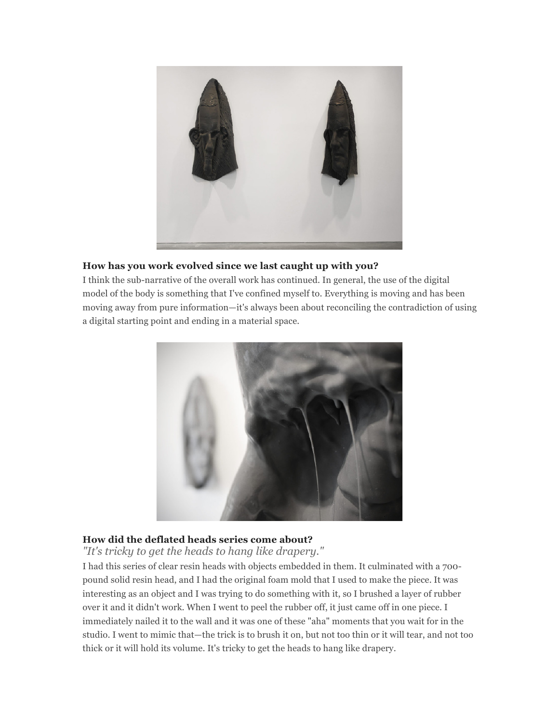

## **How has you work evolved since we last caught up with you?**

I think the sub-narrative of the overall work has continued. In general, the use of the digital model of the body is something that I've confined myself to. Everything is moving and has been moving away from pure information—it's always been about reconciling the contradiction of using a digital starting point and ending in a material space.



# **How did the deflated heads series come about?**

*"It's tricky to get the heads to hang like drapery."*

I had this series of clear resin heads with objects embedded in them. It culminated with a 700 pound solid resin head, and I had the original foam mold that I used to make the piece. It was interesting as an object and I was trying to do something with it, so I brushed a layer of rubber over it and it didn't work. When I went to peel the rubber off, it just came off in one piece. I immediately nailed it to the wall and it was one of these "aha" moments that you wait for in the studio. I went to mimic that—the trick is to brush it on, but not too thin or it will tear, and not too thick or it will hold its volume. It's tricky to get the heads to hang like drapery.